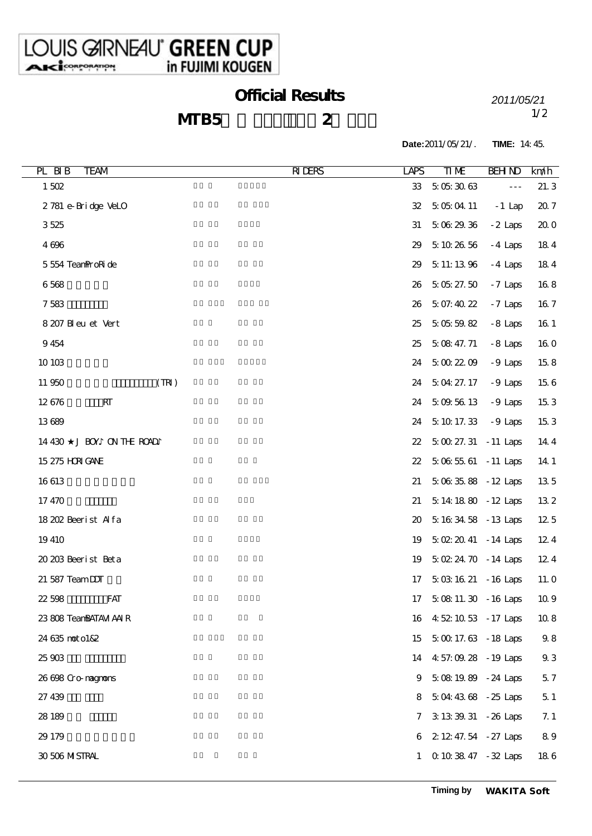## Official Results *2011/05/21*

## $MTB5$  2

1/2

**Date:**2011/05/21/. **TIME:** 14:45.

| PL BIB<br><b>TEAM</b>       | <b>RIDERS</b><br>LAPS | $T_{\rm I}$ ME                       | <b>BEH ND</b>        | km/h       |
|-----------------------------|-----------------------|--------------------------------------|----------------------|------------|
| $1502$                      | 33                    | 5053063                              | $\sim$ $\sim$ $\sim$ | 21.3       |
| 2781 e-Bridge VeLO          | 32                    | 5 05 04 11                           | $-1$ Lap             | 20.7       |
| 3525                        | 31                    | 5062936                              | $-2$ Laps            | 200        |
| 4696                        | 29                    | 5102656                              | $-4$ Laps            | 184        |
| 5554 Tean ProRide           | 29                    | 5 11:13 96                           | $-4$ Laps            | 184        |
| 6568                        | 26                    | 50527.50                             | $-7$ Laps            | 168        |
| 7583                        | 26                    | 5 07:40 22                           | $-7$ Laps            | 167        |
| 8 207 Bl eu et Vert         | 25                    | 5055982                              | $-8$ Laps            | 16 1       |
| 9454                        | 25                    | 5 08 47.71                           | $-8$ Laps            | 160        |
| 10 10 3                     | 24                    | 5002209                              | $-9$ Laps            | 158        |
| 11950<br>(TR)               | 24                    | 5 04 27 17                           | $-9$ Laps            | 156        |
| RT<br>12676                 | 24                    | 5 09 56 13                           | $-9$ Laps            | 153        |
| 13689                       | 24                    | 5101733                              | $-9$ Laps            | 153        |
| J BOY ON THE ROAD<br>14 430 | $22\,$                | $50027.31 - 11$ Laps                 |                      | 14 4       |
| 15 275 HRIGANE              | $22\,$                | $5065561 - 11$ Laps                  |                      | 14 1       |
| 16613                       | 21                    | $5083588 - 12$ Laps                  |                      | 135        |
| 17470                       | 21                    | 5 14 18 80 - 12 Laps                 |                      | 132        |
| 18 202 Beerist Alfa         | 20                    | 5 16 34 58 - 13 Laps                 |                      | 12 5       |
| 19410                       | 19                    | $5022041 - 14 \text{ Laps}$          |                      | 124        |
| 20 203 Beerist Beta         | 19                    | $5022470 - 14 \text{ Laps}$          |                      | 124        |
| 21 587 TeamDJT              | 17                    | $5031621 - 16$ Laps                  |                      | 11. O      |
| 22598<br><b>FAT</b>         | 17                    | $50811.30 - 16$ Laps                 |                      | 10.9       |
| 23 808 TeanBATAM AAIR       | 16                    | 4 52 10 53 - 17 Laps                 |                      | $10\;8$    |
| 24 635 not o182             | 15                    | $50017.63 - 18$ Laps                 |                      | $9\,8$     |
| 25903                       | 14                    | 4:57:09.28 - 19 Laps                 |                      | $9\,3$     |
| 26 698 Cromagnons           | 9                     | 5 08 19 89 - 24 Laps                 |                      | $5\,7$     |
| 27 439                      | 8                     | $5044368 - 25$ Laps                  |                      | $5\,1$     |
| 28 18 9                     |                       | 3 13 39 31 - 26 Laps<br>7.           |                      | 7.1        |
| 29 179                      |                       | 2 12 47 54 - 27 Laps<br>6            |                      | $\bf 8\,9$ |
| 30 506 MISTRAL              |                       | 0 10 38 47 - 32 Laps<br>$\mathbf{1}$ |                      | $18\;6$    |
|                             |                       |                                      |                      |            |